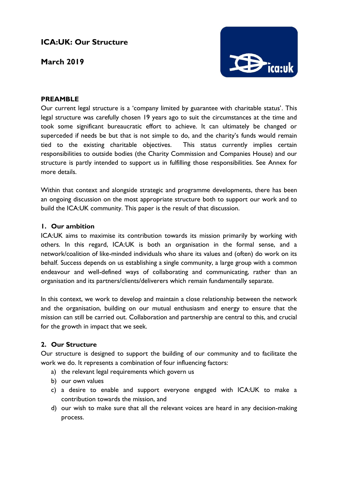# **ICA:UK: Our Structure**

**March 2019**



## **PREAMBLE**

Our current legal structure is a 'company limited by guarantee with charitable status'. This legal structure was carefully chosen 19 years ago to suit the circumstances at the time and took some significant bureaucratic effort to achieve. It can ultimately be changed or superceded if needs be but that is not simple to do, and the charity's funds would remain tied to the existing charitable objectives. This status currently implies certain responsibilities to outside bodies (the Charity Commission and Companies House) and our structure is partly intended to support us in fulfilling those responsibilities. See Annex for more details.

Within that context and alongside strategic and programme developments, there has been an ongoing discussion on the most appropriate structure both to support our work and to build the ICA:UK community. This paper is the result of that discussion.

#### **1. Our ambition**

ICA:UK aims to maximise its contribution towards its mission primarily by working with others. In this regard, ICA:UK is both an organisation in the formal sense, and a network/coalition of like-minded individuals who share its values and (often) do work on its behalf. Success depends on us establishing a single community, a large group with a common endeavour and well-defined ways of collaborating and communicating, rather than an organisation and its partners/clients/deliverers which remain fundamentally separate.

In this context, we work to develop and maintain a close relationship between the network and the organisation, building on our mutual enthusiasm and energy to ensure that the mission can still be carried out. Collaboration and partnership are central to this, and crucial for the growth in impact that we seek.

#### **2. Our Structure**

Our structure is designed to support the building of our community and to facilitate the work we do. It represents a combination of four influencing factors:

- a) the relevant legal requirements which govern us
- b) our own values
- c) a desire to enable and support everyone engaged with ICA:UK to make a contribution towards the mission, and
- d) our wish to make sure that all the relevant voices are heard in any decision-making process.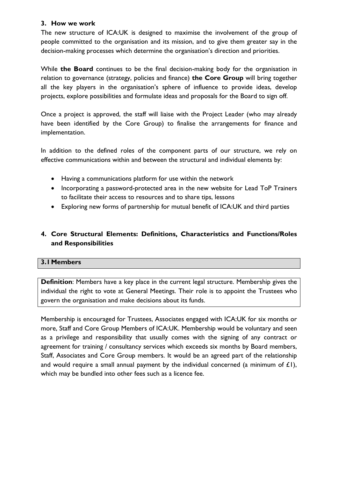#### **3. How we work**

The new structure of ICA:UK is designed to maximise the involvement of the group of people committed to the organisation and its mission, and to give them greater say in the decision-making processes which determine the organisation's direction and priorities.

While **the Board** continues to be the final decision-making body for the organisation in relation to governance (strategy, policies and finance) **the Core Group** will bring together all the key players in the organisation's sphere of influence to provide ideas, develop projects, explore possibilities and formulate ideas and proposals for the Board to sign off.

Once a project is approved, the staff will liaise with the Project Leader (who may already have been identified by the Core Group) to finalise the arrangements for finance and implementation.

In addition to the defined roles of the component parts of our structure, we rely on effective communications within and between the structural and individual elements by:

- Having a communications platform for use within the network
- Incorporating a password-protected area in the new website for Lead ToP Trainers to facilitate their access to resources and to share tips, lessons
- Exploring new forms of partnership for mutual benefit of ICA:UK and third parties

# **4. Core Structural Elements: Definitions, Characteristics and Functions/Roles and Responsibilities**

## **3.1Members**

**Definition**: Members have a key place in the current legal structure. Membership gives the individual the right to vote at General Meetings. Their role is to appoint the Trustees who govern the organisation and make decisions about its funds.

Membership is encouraged for Trustees, Associates engaged with ICA:UK for six months or more, Staff and Core Group Members of ICA:UK. Membership would be voluntary and seen as a privilege and responsibility that usually comes with the signing of any contract or agreement for training / consultancy services which exceeds six months by Board members, Staff, Associates and Core Group members. It would be an agreed part of the relationship and would require a small annual payment by the individual concerned (a minimum of  $E(1)$ , which may be bundled into other fees such as a licence fee.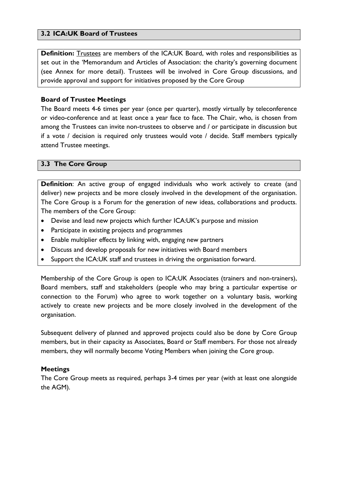## **3.2 ICA:UK Board of Trustees**

**Definition:** Trustees are members of the ICA:UK Board, with roles and responsibilities as set out in the 'Memorandum and Articles of Association: the charity's governing document (see Annex for more detail). Trustees will be involved in Core Group discussions, and provide approval and support for initiatives proposed by the Core Group

### **Board of Trustee Meetings**

The Board meets 4-6 times per year (once per quarter), mostly virtually by teleconference or video-conference and at least once a year face to face. The Chair, who, is chosen from among the Trustees can invite non-trustees to observe and / or participate in discussion but if a vote / decision is required only trustees would vote / decide. Staff members typically attend Trustee meetings.

## **3.3 The Core Group**

**Definition**: An active group of engaged individuals who work actively to create (and deliver) new projects and be more closely involved in the development of the organisation. The Core Group is a Forum for the generation of new ideas, collaborations and products. The members of the Core Group:

- Devise and lead new projects which further ICA:UK's purpose and mission
- Participate in existing projects and programmes
- Enable multiplier effects by linking with, engaging new partners
- Discuss and develop proposals for new initiatives with Board members
- Support the ICA:UK staff and trustees in driving the organisation forward.

Membership of the Core Group is open to ICA:UK Associates (trainers and non-trainers), Board members, staff and stakeholders (people who may bring a particular expertise or connection to the Forum) who agree to work together on a voluntary basis, working actively to create new projects and be more closely involved in the development of the organisation.

Subsequent delivery of planned and approved projects could also be done by Core Group members, but in their capacity as Associates, Board or Staff members. For those not already members, they will normally become Voting Members when joining the Core group.

#### **Meetings**

The Core Group meets as required, perhaps 3-4 times per year (with at least one alongside the AGM).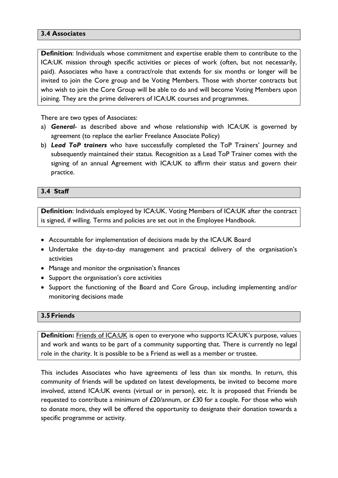#### **3.4 Associates**

**Definition**: Individuals whose commitment and expertise enable them to contribute to the ICA:UK mission through specific activities or pieces of work (often, but not necessarily, paid). Associates who have a contract/role that extends for six months or longer will be invited to join the Core group and be Voting Members. Those with shorter contracts but who wish to join the Core Group will be able to do and will become Voting Members upon joining. They are the prime deliverers of ICA:UK courses and programmes.

There are two types of Associates:

- a) *General* as described above and whose relationship with ICA:UK is governed by agreement (to replace the earlier Freelance Associate Policy)
- b) *Lead ToP trainers* who have successfully completed the ToP Trainers' Journey and subsequently maintained their status. Recognition as a Lead ToP Trainer comes with the signing of an annual Agreement with ICA:UK to affirm their status and govern their practice.

#### **3.4 Staff**

**Definition**: Individuals employed by ICA:UK. Voting Members of ICA:UK after the contract is signed, if willing. Terms and policies are set out in the Employee Handbook.

- Accountable for implementation of decisions made by the ICA:UK Board
- Undertake the day-to-day management and practical delivery of the organisation's activities
- Manage and monitor the organisation's finances
- Support the organisation's core activities
- Support the functioning of the Board and Core Group, including implementing and/or monitoring decisions made

#### **3.5Friends**

**Definition:** Friends of ICA:UK is open to everyone who supports ICA:UK's purpose, values and work and wants to be part of a community supporting that. There is currently no legal role in the charity. It is possible to be a Friend as well as a member or trustee.

This includes Associates who have agreements of less than six months. In return, this community of friends will be updated on latest developments, be invited to become more involved, attend ICA:UK events (virtual or in person), etc. It is proposed that Friends be requested to contribute a minimum of  $£20/$ annum, or  $£30$  for a couple. For those who wish to donate more, they will be offered the opportunity to designate their donation towards a specific programme or activity.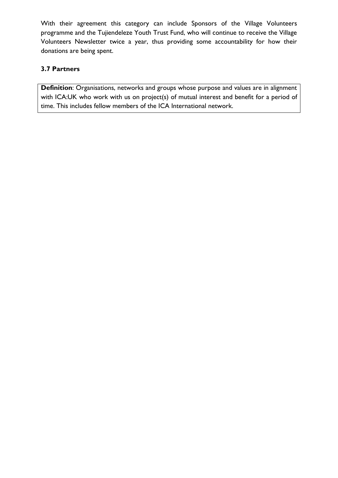With their agreement this category can include Sponsors of the Village Volunteers programme and the Tujiendeleze Youth Trust Fund, who will continue to receive the Village Volunteers Newsletter twice a year, thus providing some accountability for how their donations are being spent.

# **3.7 Partners**

**Definition**: Organisations, networks and groups whose purpose and values are in alignment with ICA:UK who work with us on project(s) of mutual interest and benefit for a period of time. This includes fellow members of the ICA International network.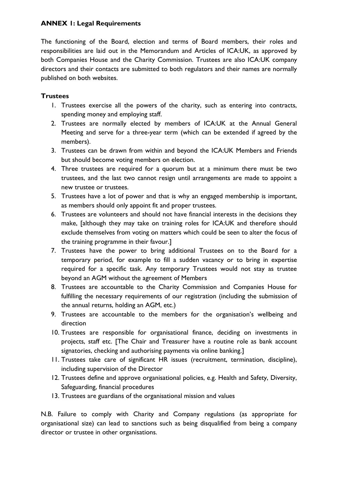## **ANNEX 1: Legal Requirements**

The functioning of the Board, election and terms of Board members, their roles and responsibilities are laid out in the Memorandum and Articles of ICA:UK, as approved by both Companies House and the Charity Commission. Trustees are also ICA:UK company directors and their contacts are submitted to both regulators and their names are normally published on both websites.

## **Trustees**

- 1. Trustees exercise all the powers of the charity, such as entering into contracts, spending money and employing staff.
- 2. Trustees are normally elected by members of ICA:UK at the Annual General Meeting and serve for a three-year term (which can be extended if agreed by the members).
- 3. Trustees can be drawn from within and beyond the ICA:UK Members and Friends but should become voting members on election.
- 4. Three trustees are required for a quorum but at a minimum there must be two trustees, and the last two cannot resign until arrangements are made to appoint a new trustee or trustees.
- 5. Trustees have a lot of power and that is why an engaged membership is important, as members should only appoint fit and proper trustees.
- 6. Trustees are volunteers and should not have financial interests in the decisions they make, [although they may take on training roles for ICA:UK and therefore should exclude themselves from voting on matters which could be seen to alter the focus of the training programme in their favour.]
- 7. Trustees have the power to bring additional Trustees on to the Board for a temporary period, for example to fill a sudden vacancy or to bring in expertise required for a specific task. Any temporary Trustees would not stay as trustee beyond an AGM without the agreement of Members
- 8. Trustees are accountable to the Charity Commission and Companies House for fulfilling the necessary requirements of our registration (including the submission of the annual returns, holding an AGM, etc.)
- 9. Trustees are accountable to the members for the organisation's wellbeing and direction
- 10. Trustees are responsible for organisational finance, deciding on investments in projects, staff etc. [The Chair and Treasurer have a routine role as bank account signatories, checking and authorising payments via online banking.]
- 11. Trustees take care of significant HR issues (recruitment, termination, discipline), including supervision of the Director
- 12. Trustees define and approve organisational policies, e.g. Health and Safety, Diversity, Safeguarding, financial procedures
- 13. Trustees are guardians of the organisational mission and values

N.B. Failure to comply with Charity and Company regulations (as appropriate for organisational size) can lead to sanctions such as being disqualified from being a company director or trustee in other organisations.